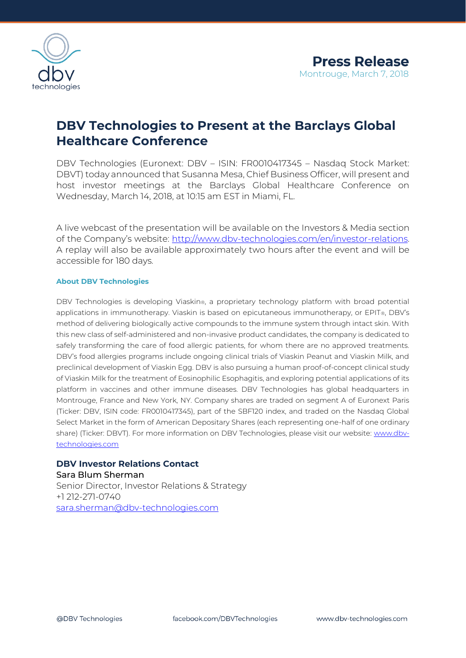

## **DBV Technologies to Present at the Barclays Global Healthcare Conference**

DBV Technologies (Euronext: DBV – ISIN: FR0010417345 – Nasdaq Stock Market: DBVT) today announced that Susanna Mesa, Chief Business Officer, will present and host investor meetings at the Barclays Global Healthcare Conference on Wednesday, March 14, 2018, at 10:15 am EST in Miami, FL.

A live webcast of the presentation will be available on the Investors & Media section of the Company's website: [http://www.dbv-technologies.com/en/investor-relations.](http://www.dbv-technologies.com/en/investor-relations) A replay will also be available approximately two hours after the event and will be accessible for 180 days.

## **About DBV Technologies**

DBV Technologies is developing Viaskin®, a proprietary technology platform with broad potential applications in immunotherapy. Viaskin is based on epicutaneous immunotherapy, or EPIT®, DBV's method of delivering biologically active compounds to the immune system through intact skin. With this new class of self-administered and non-invasive product candidates, the company is dedicated to safely transforming the care of food allergic patients, for whom there are no approved treatments. DBV's food allergies programs include ongoing clinical trials of Viaskin Peanut and Viaskin Milk, and preclinical development of Viaskin Egg. DBV is also pursuing a human proof-of-concept clinical study of Viaskin Milk for the treatment of Eosinophilic Esophagitis, and exploring potential applications of its platform in vaccines and other immune diseases. DBV Technologies has global headquarters in Montrouge, France and New York, NY. Company shares are traded on segment A of Euronext Paris (Ticker: DBV, ISIN code: FR0010417345), part of the SBF120 index, and traded on the Nasdaq Global Select Market in the form of American Depositary Shares (each representing one-half of one ordinary share) (Ticker: DBVT). For more information on DBV Technologies, please visit our website: [www.dbv](http://www.dbv-technologies.com/)[technologies.com](http://www.dbv-technologies.com/) 

## **DBV Investor Relations Contact**

Sara Blum Sherman Senior Director, Investor Relations & Strategy +1 212-271-0740 [sara.sherman@dbv-technologies.com](mailto:susanna.mesa@dbv-technologies.com)